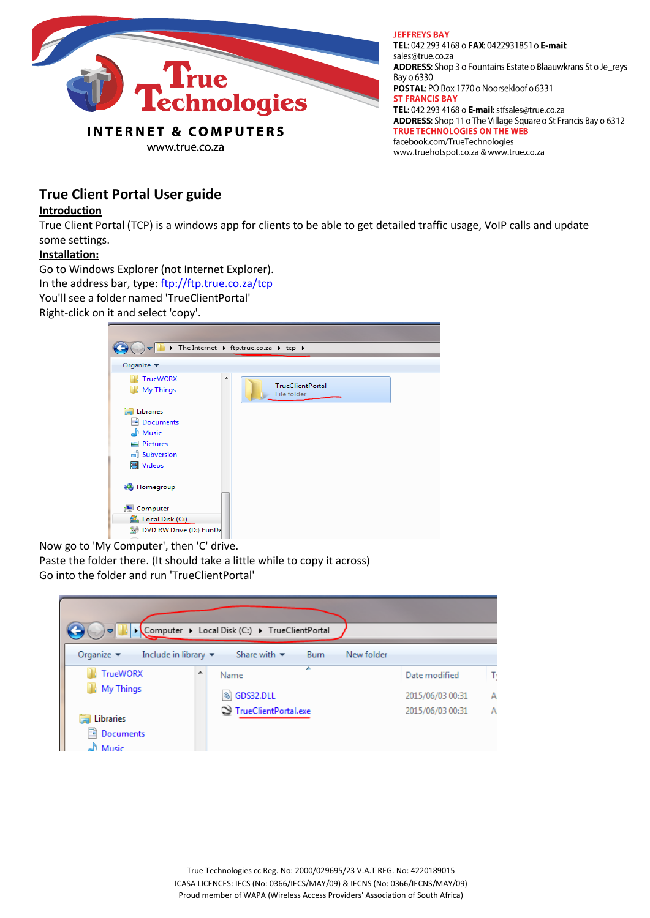

**JEFFREYS BAY** TEL: 042 293 4168 o FAX: 0422931851 o E-mail: sales@true.co.za ADDRESS: Shop 3 o Fountains Estate o Blaauwkrans St o Je\_reys Bay o 6330 POSTAL: PO Box 1770 o Noorsekloof o 6331 **ST FRANCIS BAY** TEL: 042 293 4168 o E-mail: stfsales@true.co.za ADDRESS: Shop 11 o The Village Square o St Francis Bay o 6312 TRUE TECHNOLOGIES ON THE WEB facebook.com/TrueTechnologies www.truehotspot.co.za & www.true.co.za

# **True Client Portal User guide**

#### **Introduction**

True Client Portal (TCP) is a windows app for clients to be able to get detailed traffic usage, VoIP calls and update some settings.

### **Installation:**

Go to Windows Explorer (not Internet Explorer).

In the address bar, type: <ftp://ftp.true.co.za/tcp>

You'll see a folder named 'TrueClientPortal'

Right-click on it and select 'copy'.



Now go to 'My Computer', then 'C' drive.

Paste the folder there. (It should take a little while to copy it across) Go into the folder and run 'TrueClientPortal'

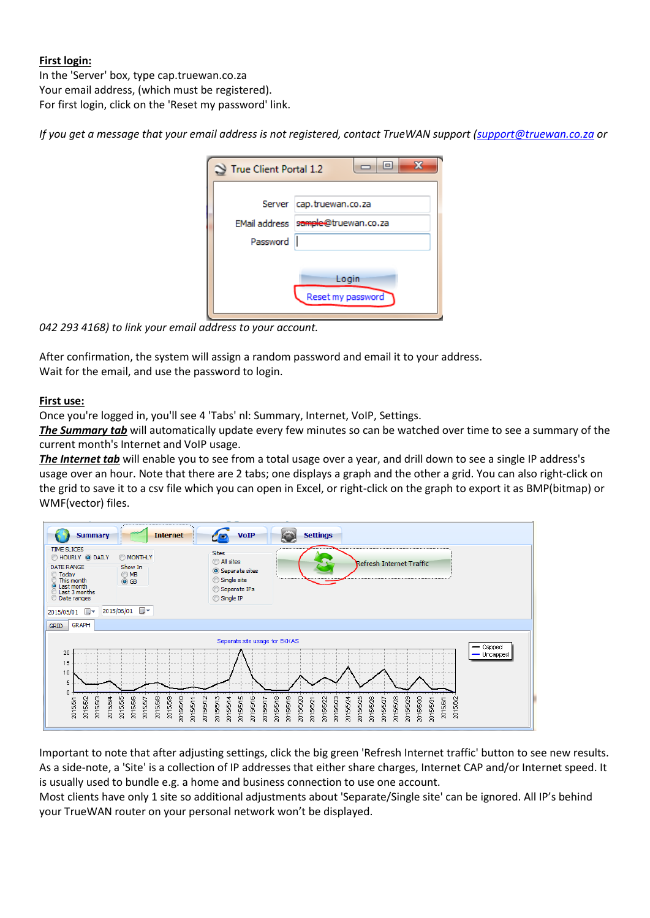## **First login:**

In the 'Server' box, type cap.truewan.co.za Your email address, (which must be registered). For first login, click on the 'Reset my password' link.

*If you get a message that your email address is not registered, contact TrueWAN support [\(support@truewan.co.za](mailto:support@truewan.co.za) or* 

| True Client Portal 1.2    | l۰                                               |
|---------------------------|--------------------------------------------------|
| EMail address<br>Password | Server cap.truewan.co.za<br>sample@truewan.co.za |
|                           | Login<br>Reset my password                       |

*042 293 4168) to link your email address to your account.*

After confirmation, the system will assign a random password and email it to your address. Wait for the email, and use the password to login.

### **First use:**

Once you're logged in, you'll see 4 'Tabs' nl: Summary, Internet, VoIP, Settings.

*The Summary tab* will automatically update every few minutes so can be watched over time to see a summary of the current month's Internet and VoIP usage.

*The Internet tab* will enable you to see from a total usage over a year, and drill down to see a single IP address's usage over an hour. Note that there are 2 tabs; one displays a graph and the other a grid. You can also right-click on the grid to save it to a csv file which you can open in Excel, or right-click on the graph to export it as BMP(bitmap) or WMF(vector) files.

| <b>Summary</b>                                                                                                                     | <b>Internet</b>                                                                                   | <b>VoIP</b><br><b>Settings</b>                                                                                                                                                                                                                                                                                                   |  |  |  |
|------------------------------------------------------------------------------------------------------------------------------------|---------------------------------------------------------------------------------------------------|----------------------------------------------------------------------------------------------------------------------------------------------------------------------------------------------------------------------------------------------------------------------------------------------------------------------------------|--|--|--|
| <b>TIME SLICES</b><br>HOURLY O DAILY<br>DATE RANGE<br>C Today<br>This month<br>@ Last month<br>Last 3 months<br><b>Date ranges</b> | <b>MONTHLY</b><br>Show In<br>$\bigcirc$ MB<br>$\odot$ GB                                          | <b>Sites</b><br>All sites<br>Refresh Internet Traffic<br>Separate sites<br>Single site<br>Separate IPs<br>Single IP                                                                                                                                                                                                              |  |  |  |
| ▦▾<br>2015/05/01                                                                                                                   | 2015/06/01 ■▼                                                                                     |                                                                                                                                                                                                                                                                                                                                  |  |  |  |
| <b>GRAPH</b><br><b>GRID</b>                                                                                                        |                                                                                                   |                                                                                                                                                                                                                                                                                                                                  |  |  |  |
| Separate site usage for EKKAS                                                                                                      |                                                                                                   |                                                                                                                                                                                                                                                                                                                                  |  |  |  |
| 20<br>15<br>10<br>5<br>0<br>2015/5/2<br>2015/5/3<br>2015/5/4<br>2015/5/1                                                           | 5/5/5<br>2015/5/6<br>2015/5/8<br>2015/5/9<br>2015/5/12<br>2015/5/10<br>2015/5/11<br>2015/5/7<br>ā | $-$ Capped<br>$-$ Uncapped<br>2015/5/13<br>2015/5/14<br>2015/5/16<br>2015/5/18<br>2015/5/19<br>2015/5/29<br>ю<br>2015/5/26<br>2015/5/28<br>5/5/20<br>2015/5/23<br>2015/5/24<br>2015/5/22<br>5/5/25<br>2015/5/30<br>2015/5/17<br>2015/6/1<br>2015/6/2<br>2015/5/21<br>2015/5/27<br>2015/5/31<br>5/5/1<br>ξ<br>$\overline{5}$<br>ă |  |  |  |

Important to note that after adjusting settings, click the big green 'Refresh Internet traffic' button to see new results. As a side-note, a 'Site' is a collection of IP addresses that either share charges, Internet CAP and/or Internet speed. It is usually used to bundle e.g. a home and business connection to use one account.

Most clients have only 1 site so additional adjustments about 'Separate/Single site' can be ignored. All IP's behind your TrueWAN router on your personal network won't be displayed.